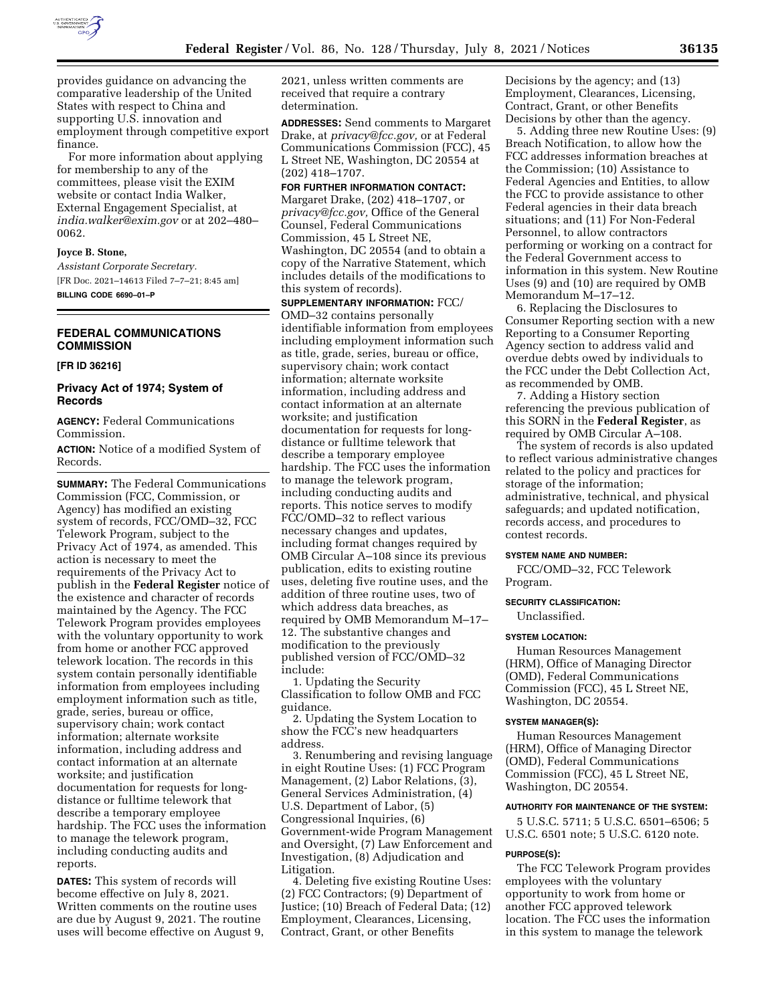

provides guidance on advancing the comparative leadership of the United States with respect to China and supporting U.S. innovation and employment through competitive export finance.

For more information about applying for membership to any of the committees, please visit the EXIM website or contact India Walker, External Engagement Specialist, at *india.walker@exim.gov* or at 202–480– 0062.

## **Joyce B. Stone,**

*Assistant Corporate Secretary.*  [FR Doc. 2021–14613 Filed 7–7–21; 8:45 am] **BILLING CODE 6690–01–P** 

# **FEDERAL COMMUNICATIONS COMMISSION**

#### **[FR ID 36216]**

# **Privacy Act of 1974; System of Records**

**AGENCY:** Federal Communications Commission.

**ACTION:** Notice of a modified System of Records.

**SUMMARY:** The Federal Communications Commission (FCC, Commission, or Agency) has modified an existing system of records, FCC/OMD–32, FCC Telework Program, subject to the Privacy Act of 1974, as amended. This action is necessary to meet the requirements of the Privacy Act to publish in the **Federal Register** notice of the existence and character of records maintained by the Agency. The FCC Telework Program provides employees with the voluntary opportunity to work from home or another FCC approved telework location. The records in this system contain personally identifiable information from employees including employment information such as title, grade, series, bureau or office, supervisory chain; work contact information; alternate worksite information, including address and contact information at an alternate worksite; and justification documentation for requests for longdistance or fulltime telework that describe a temporary employee hardship. The FCC uses the information to manage the telework program, including conducting audits and reports.

**DATES:** This system of records will become effective on July 8, 2021. Written comments on the routine uses are due by August 9, 2021. The routine uses will become effective on August 9, 2021, unless written comments are received that require a contrary determination.

**ADDRESSES:** Send comments to Margaret Drake, at *privacy@fcc.gov,* or at Federal Communications Commission (FCC), 45 L Street NE, Washington, DC 20554 at (202) 418–1707.

**FOR FURTHER INFORMATION CONTACT:**  Margaret Drake, (202) 418–1707, or *privacy@fcc.gov,* Office of the General Counsel, Federal Communications Commission, 45 L Street NE, Washington, DC 20554 (and to obtain a copy of the Narrative Statement, which includes details of the modifications to this system of records).

**SUPPLEMENTARY INFORMATION:** FCC/ OMD–32 contains personally identifiable information from employees including employment information such as title, grade, series, bureau or office, supervisory chain; work contact information; alternate worksite information, including address and contact information at an alternate worksite; and justification documentation for requests for longdistance or fulltime telework that describe a temporary employee hardship. The FCC uses the information to manage the telework program, including conducting audits and reports. This notice serves to modify FCC/OMD–32 to reflect various necessary changes and updates, including format changes required by OMB Circular A–108 since its previous publication, edits to existing routine uses, deleting five routine uses, and the addition of three routine uses, two of which address data breaches, as required by OMB Memorandum M–17– 12. The substantive changes and modification to the previously published version of FCC/OMD–32 include:

1. Updating the Security Classification to follow OMB and FCC guidance.

2. Updating the System Location to show the FCC's new headquarters address.

3. Renumbering and revising language in eight Routine Uses: (1) FCC Program Management, (2) Labor Relations, (3), General Services Administration, (4) U.S. Department of Labor, (5) Congressional Inquiries, (6) Government-wide Program Management and Oversight, (7) Law Enforcement and Investigation, (8) Adjudication and Litigation.

4. Deleting five existing Routine Uses: (2) FCC Contractors; (9) Department of Justice; (10) Breach of Federal Data; (12) Employment, Clearances, Licensing, Contract, Grant, or other Benefits

Decisions by the agency; and (13) Employment, Clearances, Licensing, Contract, Grant, or other Benefits Decisions by other than the agency.

5. Adding three new Routine Uses: (9) Breach Notification, to allow how the FCC addresses information breaches at the Commission; (10) Assistance to Federal Agencies and Entities, to allow the FCC to provide assistance to other Federal agencies in their data breach situations; and (11) For Non-Federal Personnel, to allow contractors performing or working on a contract for the Federal Government access to information in this system. New Routine Uses (9) and (10) are required by OMB Memorandum M–17–12.

6. Replacing the Disclosures to Consumer Reporting section with a new Reporting to a Consumer Reporting Agency section to address valid and overdue debts owed by individuals to the FCC under the Debt Collection Act, as recommended by OMB.

7. Adding a History section referencing the previous publication of this SORN in the **Federal Register**, as required by OMB Circular A–108.

The system of records is also updated to reflect various administrative changes related to the policy and practices for storage of the information; administrative, technical, and physical safeguards; and updated notification, records access, and procedures to contest records.

### **SYSTEM NAME AND NUMBER:**

FCC/OMD–32, FCC Telework Program.

# **SECURITY CLASSIFICATION:**

Unclassified.

#### **SYSTEM LOCATION:**

Human Resources Management (HRM), Office of Managing Director (OMD), Federal Communications Commission (FCC), 45 L Street NE, Washington, DC 20554.

#### **SYSTEM MANAGER(S):**

Human Resources Management (HRM), Office of Managing Director (OMD), Federal Communications Commission (FCC), 45 L Street NE, Washington, DC 20554.

#### **AUTHORITY FOR MAINTENANCE OF THE SYSTEM:**

5 U.S.C. 5711; 5 U.S.C. 6501–6506; 5 U.S.C. 6501 note; 5 U.S.C. 6120 note.

#### **PURPOSE(S):**

The FCC Telework Program provides employees with the voluntary opportunity to work from home or another FCC approved telework location. The FCC uses the information in this system to manage the telework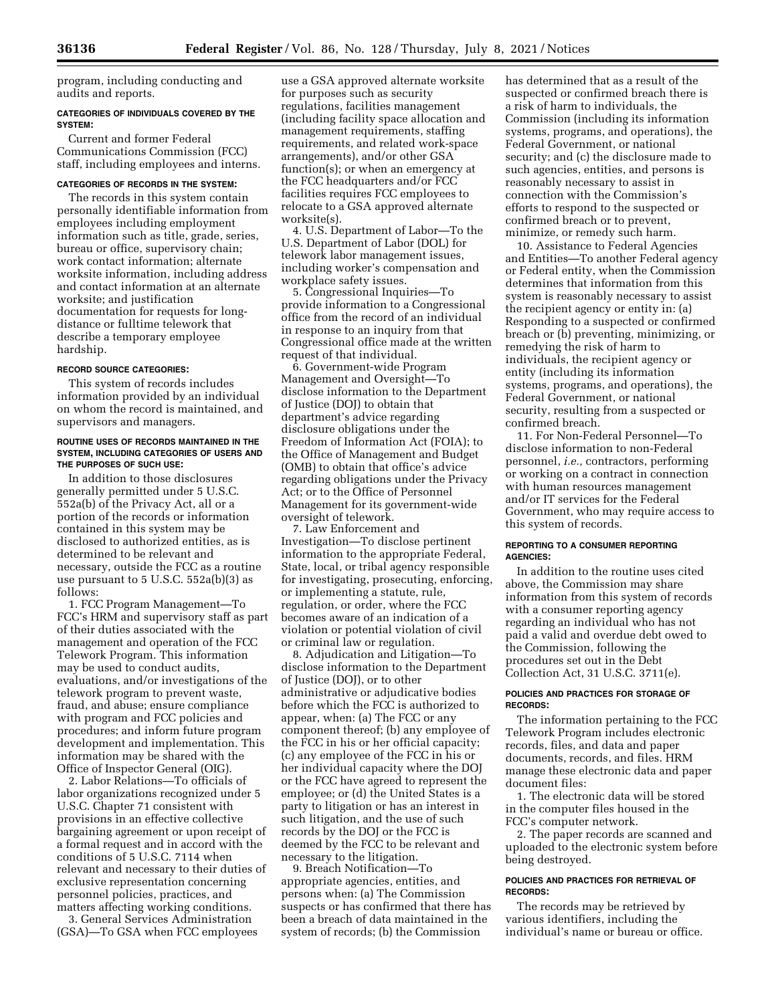program, including conducting and audits and reports.

### **CATEGORIES OF INDIVIDUALS COVERED BY THE SYSTEM:**

Current and former Federal Communications Commission (FCC) staff, including employees and interns.

### **CATEGORIES OF RECORDS IN THE SYSTEM:**

The records in this system contain personally identifiable information from employees including employment information such as title, grade, series, bureau or office, supervisory chain; work contact information; alternate worksite information, including address and contact information at an alternate worksite; and justification documentation for requests for longdistance or fulltime telework that describe a temporary employee hardship.

#### **RECORD SOURCE CATEGORIES:**

This system of records includes information provided by an individual on whom the record is maintained, and supervisors and managers.

#### **ROUTINE USES OF RECORDS MAINTAINED IN THE SYSTEM, INCLUDING CATEGORIES OF USERS AND THE PURPOSES OF SUCH USE:**

In addition to those disclosures generally permitted under 5 U.S.C. 552a(b) of the Privacy Act, all or a portion of the records or information contained in this system may be disclosed to authorized entities, as is determined to be relevant and necessary, outside the FCC as a routine use pursuant to 5 U.S.C. 552a(b)(3) as follows:

1. FCC Program Management—To FCC's HRM and supervisory staff as part of their duties associated with the management and operation of the FCC Telework Program. This information may be used to conduct audits, evaluations, and/or investigations of the telework program to prevent waste, fraud, and abuse; ensure compliance with program and FCC policies and procedures; and inform future program development and implementation. This information may be shared with the Office of Inspector General (OIG).

2. Labor Relations—To officials of labor organizations recognized under 5 U.S.C. Chapter 71 consistent with provisions in an effective collective bargaining agreement or upon receipt of a formal request and in accord with the conditions of 5 U.S.C. 7114 when relevant and necessary to their duties of exclusive representation concerning personnel policies, practices, and matters affecting working conditions.

3. General Services Administration (GSA)—To GSA when FCC employees

use a GSA approved alternate worksite for purposes such as security regulations, facilities management (including facility space allocation and management requirements, staffing requirements, and related work-space arrangements), and/or other GSA function(s); or when an emergency at the FCC headquarters and/or FCC facilities requires FCC employees to relocate to a GSA approved alternate worksite(s).

4. U.S. Department of Labor—To the U.S. Department of Labor (DOL) for telework labor management issues, including worker's compensation and workplace safety issues.

5. Congressional Inquiries—To provide information to a Congressional office from the record of an individual in response to an inquiry from that Congressional office made at the written request of that individual.

6. Government-wide Program Management and Oversight—To disclose information to the Department of Justice (DOJ) to obtain that department's advice regarding disclosure obligations under the Freedom of Information Act (FOIA); to the Office of Management and Budget (OMB) to obtain that office's advice regarding obligations under the Privacy Act; or to the Office of Personnel Management for its government-wide oversight of telework.

7. Law Enforcement and Investigation—To disclose pertinent information to the appropriate Federal, State, local, or tribal agency responsible for investigating, prosecuting, enforcing, or implementing a statute, rule, regulation, or order, where the FCC becomes aware of an indication of a violation or potential violation of civil or criminal law or regulation.

8. Adjudication and Litigation—To disclose information to the Department of Justice (DOJ), or to other administrative or adjudicative bodies before which the FCC is authorized to appear, when: (a) The FCC or any component thereof; (b) any employee of the FCC in his or her official capacity; (c) any employee of the FCC in his or her individual capacity where the DOJ or the FCC have agreed to represent the employee; or (d) the United States is a party to litigation or has an interest in such litigation, and the use of such records by the DOJ or the FCC is deemed by the FCC to be relevant and necessary to the litigation.

9. Breach Notification—To appropriate agencies, entities, and persons when: (a) The Commission suspects or has confirmed that there has been a breach of data maintained in the system of records; (b) the Commission

has determined that as a result of the suspected or confirmed breach there is a risk of harm to individuals, the Commission (including its information systems, programs, and operations), the Federal Government, or national security; and (c) the disclosure made to such agencies, entities, and persons is reasonably necessary to assist in connection with the Commission's efforts to respond to the suspected or confirmed breach or to prevent, minimize, or remedy such harm.

10. Assistance to Federal Agencies and Entities—To another Federal agency or Federal entity, when the Commission determines that information from this system is reasonably necessary to assist the recipient agency or entity in: (a) Responding to a suspected or confirmed breach or (b) preventing, minimizing, or remedying the risk of harm to individuals, the recipient agency or entity (including its information systems, programs, and operations), the Federal Government, or national security, resulting from a suspected or confirmed breach.

11. For Non-Federal Personnel—To disclose information to non-Federal personnel, *i.e.,* contractors, performing or working on a contract in connection with human resources management and/or IT services for the Federal Government, who may require access to this system of records.

#### **REPORTING TO A CONSUMER REPORTING AGENCIES:**

In addition to the routine uses cited above, the Commission may share information from this system of records with a consumer reporting agency regarding an individual who has not paid a valid and overdue debt owed to the Commission, following the procedures set out in the Debt Collection Act, 31 U.S.C. 3711(e).

#### **POLICIES AND PRACTICES FOR STORAGE OF RECORDS:**

The information pertaining to the FCC Telework Program includes electronic records, files, and data and paper documents, records, and files. HRM manage these electronic data and paper document files:

1. The electronic data will be stored in the computer files housed in the FCC's computer network.

2. The paper records are scanned and uploaded to the electronic system before being destroyed.

### **POLICIES AND PRACTICES FOR RETRIEVAL OF RECORDS:**

The records may be retrieved by various identifiers, including the individual's name or bureau or office.